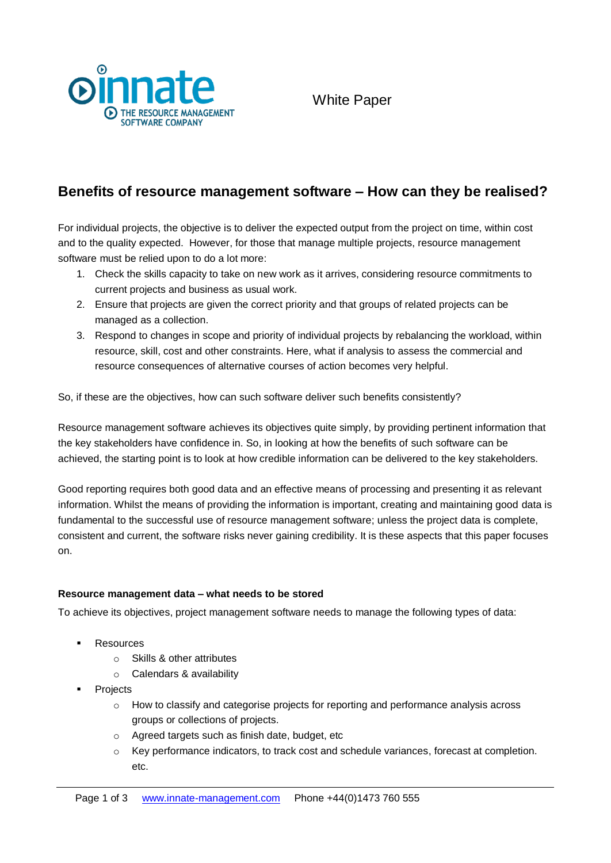

# **Benefits of resource management software – How can they be realised?**

For individual projects, the objective is to deliver the expected output from the project on time, within cost and to the quality expected. However, for those that manage multiple projects, resource management software must be relied upon to do a lot more:

- 1. Check the skills capacity to take on new work as it arrives, considering resource commitments to current projects and business as usual work.
- 2. Ensure that projects are given the correct priority and that groups of related projects can be managed as a collection.
- 3. Respond to changes in scope and priority of individual projects by rebalancing the workload, within resource, skill, cost and other constraints. Here, what if analysis to assess the commercial and resource consequences of alternative courses of action becomes very helpful.

So, if these are the objectives, how can such software deliver such benefits consistently?

Resource management software achieves its objectives quite simply, by providing pertinent information that the key stakeholders have confidence in. So, in looking at how the benefits of such software can be achieved, the starting point is to look at how credible information can be delivered to the key stakeholders.

Good reporting requires both good data and an effective means of processing and presenting it as relevant information. Whilst the means of providing the information is important, creating and maintaining good data is fundamental to the successful use of resource management software; unless the project data is complete, consistent and current, the software risks never gaining credibility. It is these aspects that this paper focuses on.

# **Resource management data – what needs to be stored**

To achieve its objectives, project management software needs to manage the following types of data:

- **Resources** 
	- o Skills & other attributes
	- o Calendars & availability
- Projects
	- $\circ$  How to classify and categorise projects for reporting and performance analysis across groups or collections of projects.
	- o Agreed targets such as finish date, budget, etc
	- o Key performance indicators, to track cost and schedule variances, forecast at completion. etc.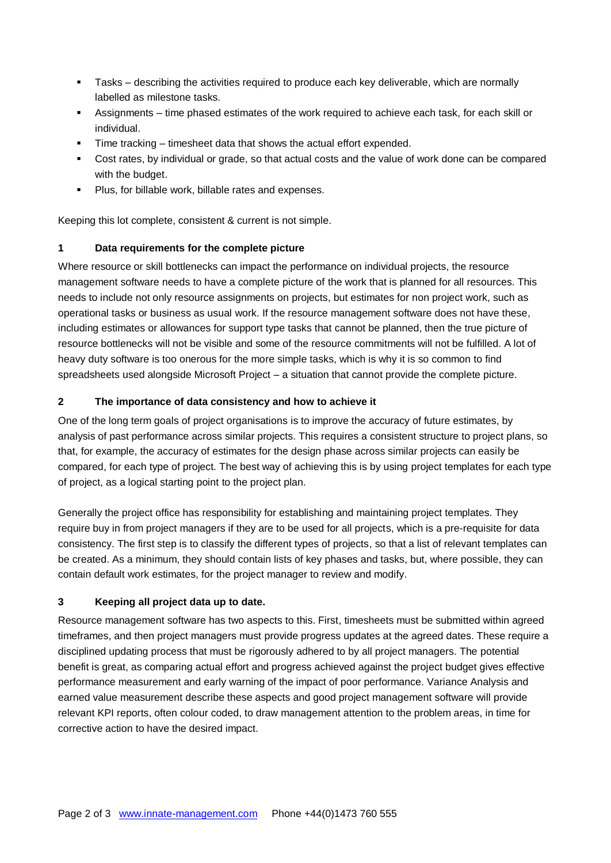- Tasks describing the activities required to produce each key deliverable, which are normally labelled as milestone tasks.
- Assignments time phased estimates of the work required to achieve each task, for each skill or individual.
- Time tracking timesheet data that shows the actual effort expended.
- Cost rates, by individual or grade, so that actual costs and the value of work done can be compared with the budget.
- **Plus, for billable work, billable rates and expenses.**

Keeping this lot complete, consistent & current is not simple.

# **1 Data requirements for the complete picture**

Where resource or skill bottlenecks can impact the performance on individual projects, the resource management software needs to have a complete picture of the work that is planned for all resources. This needs to include not only resource assignments on projects, but estimates for non project work, such as operational tasks or business as usual work. If the resource management software does not have these, including estimates or allowances for support type tasks that cannot be planned, then the true picture of resource bottlenecks will not be visible and some of the resource commitments will not be fulfilled. A lot of heavy duty software is too onerous for the more simple tasks, which is why it is so common to find spreadsheets used alongside Microsoft Project – a situation that cannot provide the complete picture.

# **2 The importance of data consistency and how to achieve it**

One of the long term goals of project organisations is to improve the accuracy of future estimates, by analysis of past performance across similar projects. This requires a consistent structure to project plans, so that, for example, the accuracy of estimates for the design phase across similar projects can easily be compared, for each type of project. The best way of achieving this is by using project templates for each type of project, as a logical starting point to the project plan.

Generally the project office has responsibility for establishing and maintaining project templates. They require buy in from project managers if they are to be used for all projects, which is a pre-requisite for data consistency. The first step is to classify the different types of projects, so that a list of relevant templates can be created. As a minimum, they should contain lists of key phases and tasks, but, where possible, they can contain default work estimates, for the project manager to review and modify.

# **3 Keeping all project data up to date.**

Resource management software has two aspects to this. First, timesheets must be submitted within agreed timeframes, and then project managers must provide progress updates at the agreed dates. These require a disciplined updating process that must be rigorously adhered to by all project managers. The potential benefit is great, as comparing actual effort and progress achieved against the project budget gives effective performance measurement and early warning of the impact of poor performance. Variance Analysis and earned value measurement describe these aspects and good project management software will provide relevant KPI reports, often colour coded, to draw management attention to the problem areas, in time for corrective action to have the desired impact.